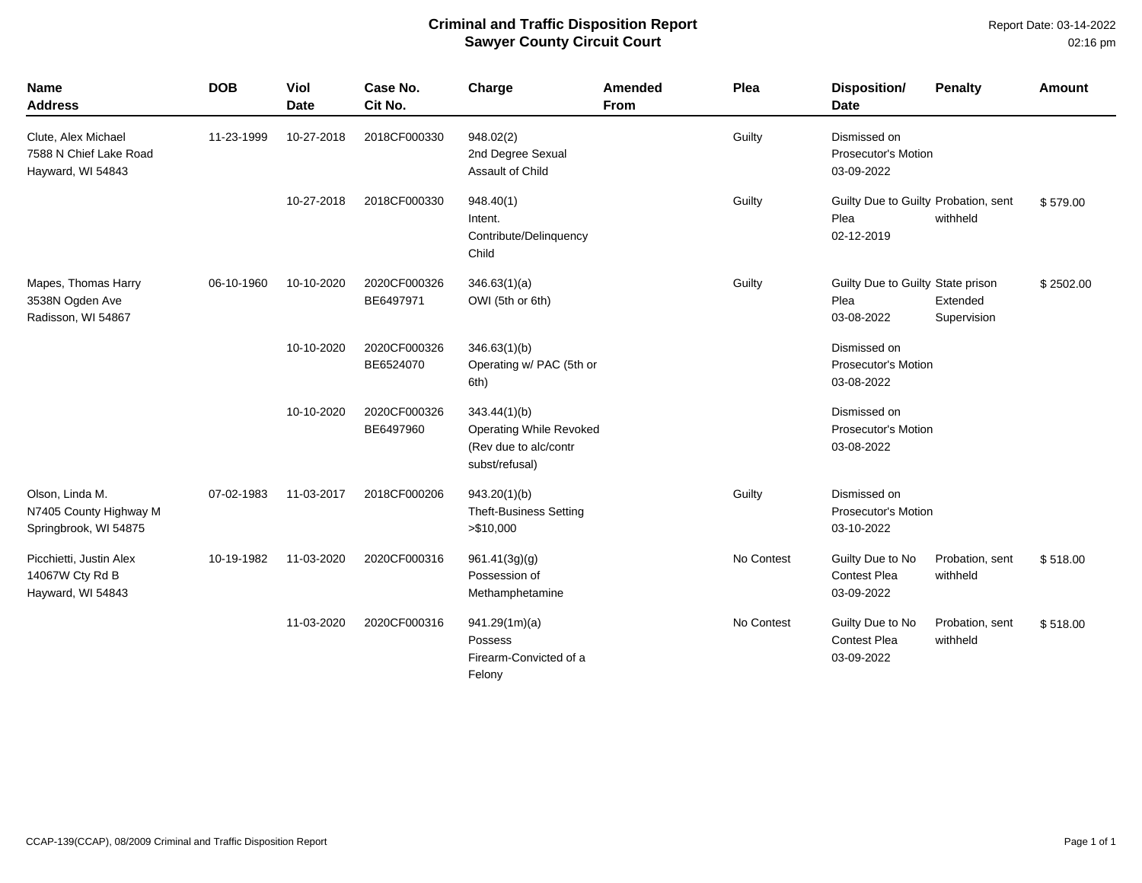## **Criminal and Traffic Disposition Report Sawyer County Circuit Court**

| <b>Name</b><br><b>Address</b>                                      | <b>DOB</b> | <b>Viol</b><br><b>Date</b> | Case No.<br>Cit No.       | Charge                                                                                    | Amended<br><b>From</b> | Plea       | <b>Disposition/</b><br><b>Date</b>                         | <b>Penalty</b>              | <b>Amount</b> |
|--------------------------------------------------------------------|------------|----------------------------|---------------------------|-------------------------------------------------------------------------------------------|------------------------|------------|------------------------------------------------------------|-----------------------------|---------------|
| Clute, Alex Michael<br>7588 N Chief Lake Road<br>Hayward, WI 54843 | 11-23-1999 | 10-27-2018                 | 2018CF000330              | 948.02(2)<br>2nd Degree Sexual<br>Assault of Child                                        |                        | Guilty     | Dismissed on<br>Prosecutor's Motion<br>03-09-2022          |                             |               |
|                                                                    |            | 10-27-2018                 | 2018CF000330              | 948.40(1)<br>Intent.<br>Contribute/Delinquency<br>Child                                   |                        | Guilty     | Guilty Due to Guilty Probation, sent<br>Plea<br>02-12-2019 | withheld                    | \$579.00      |
| Mapes, Thomas Harry<br>3538N Ogden Ave<br>Radisson, WI 54867       | 06-10-1960 | 10-10-2020                 | 2020CF000326<br>BE6497971 | 346.63(1)(a)<br>OWI (5th or 6th)                                                          |                        | Guilty     | Guilty Due to Guilty State prison<br>Plea<br>03-08-2022    | Extended<br>Supervision     | \$2502.00     |
|                                                                    |            | 10-10-2020                 | 2020CF000326<br>BE6524070 | 346.63(1)(b)<br>Operating w/ PAC (5th or<br>6th)                                          |                        |            | Dismissed on<br><b>Prosecutor's Motion</b><br>03-08-2022   |                             |               |
|                                                                    |            | 10-10-2020                 | 2020CF000326<br>BE6497960 | 343.44(1)(b)<br><b>Operating While Revoked</b><br>(Rev due to alc/contr<br>subst/refusal) |                        |            | Dismissed on<br>Prosecutor's Motion<br>03-08-2022          |                             |               |
| Olson, Linda M.<br>N7405 County Highway M<br>Springbrook, WI 54875 | 07-02-1983 | 11-03-2017                 | 2018CF000206              | 943.20(1)(b)<br><b>Theft-Business Setting</b><br>> \$10,000                               |                        | Guilty     | Dismissed on<br>Prosecutor's Motion<br>03-10-2022          |                             |               |
| Picchietti, Justin Alex<br>14067W Cty Rd B<br>Hayward, WI 54843    | 10-19-1982 | 11-03-2020                 | 2020CF000316              | 961.41(3g)(g)<br>Possession of<br>Methamphetamine                                         |                        | No Contest | Guilty Due to No<br><b>Contest Plea</b><br>03-09-2022      | Probation, sent<br>withheld | \$518.00      |
|                                                                    |            | 11-03-2020                 | 2020CF000316              | 941.29(1m)(a)<br>Possess<br>Firearm-Convicted of a<br>Felony                              |                        | No Contest | Guilty Due to No<br><b>Contest Plea</b><br>03-09-2022      | Probation, sent<br>withheld | \$518.00      |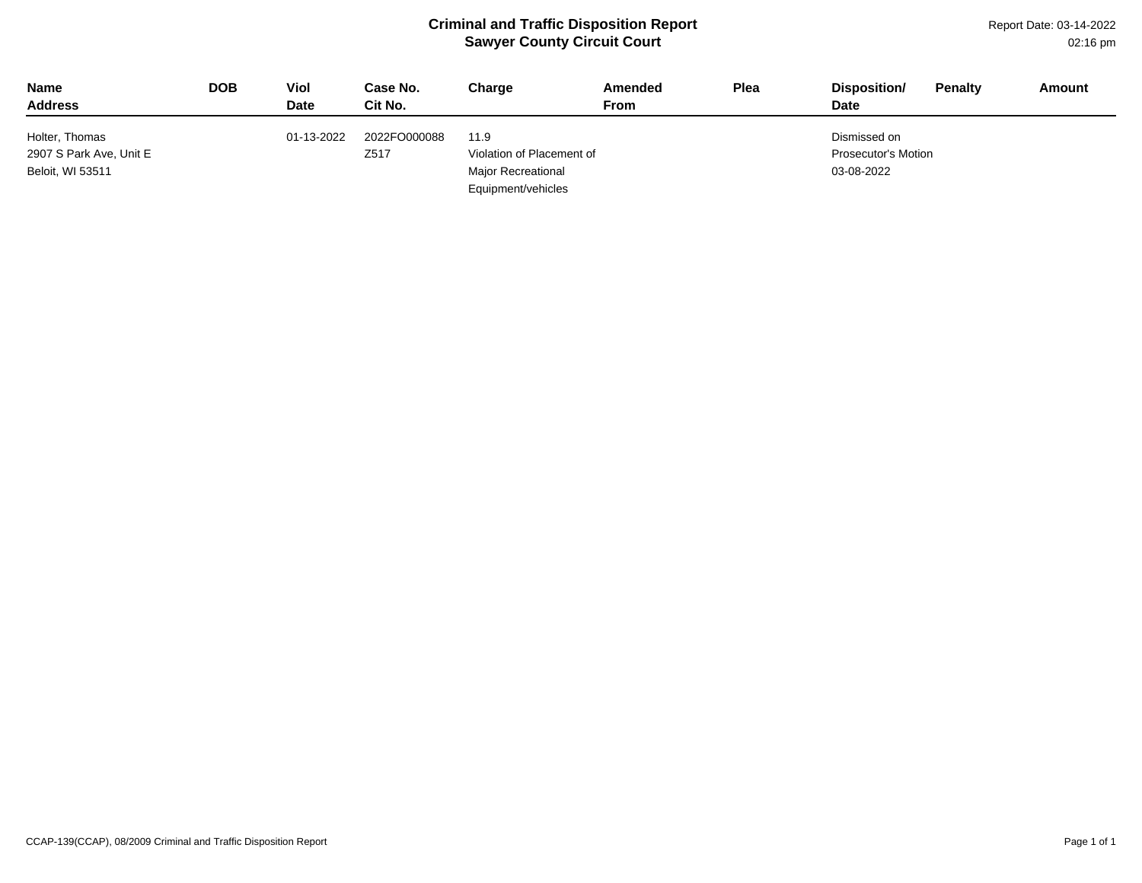## **Criminal and Traffic Disposition Report Sawyer County Circuit Court**

Report Date: 03-14-2022 02:16 pm

| <b>Name</b><br><b>Address</b> | <b>DOB</b> | Viol<br><b>Date</b> | Case No.<br>Cit No. | Charge                    | Amended<br>From | Plea | Disposition/<br><b>Date</b> | <b>Penalty</b> | Amount |
|-------------------------------|------------|---------------------|---------------------|---------------------------|-----------------|------|-----------------------------|----------------|--------|
| Holter, Thomas                |            | 01-13-2022          | 2022FO000088        | 11.9                      |                 |      | Dismissed on                |                |        |
| 2907 S Park Ave, Unit E       |            |                     | Z <sub>517</sub>    | Violation of Placement of |                 |      | Prosecutor's Motion         |                |        |
| Beloit, WI 53511              |            |                     |                     | <b>Major Recreational</b> |                 |      | 03-08-2022                  |                |        |
|                               |            |                     |                     | Equipment/vehicles        |                 |      |                             |                |        |